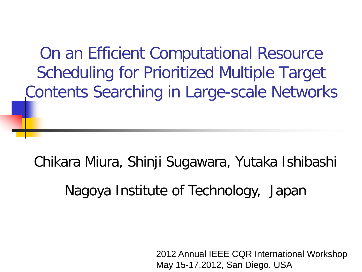On an Efficient Computational Resource Scheduling for Prioritized Multiple Target Contents Searching in Large-scale Networks

Chikara Miura, Shinji Sugawara, Yutaka Ishibashi Nagoya Institute of Technology, Japan

> 2012 Annual IEEE CQR International Workshop May 15-17,2012, San Diego, USA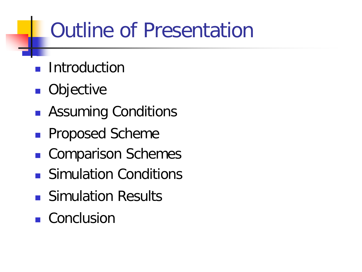## Outline of Presentation

- **Introduction**
- **Objective**
- **Assuming Conditions**
- **Proposed Scheme**
- Comparison Schemes
- **Simulation Conditions**
- **Simulation Results**
- **Conclusion**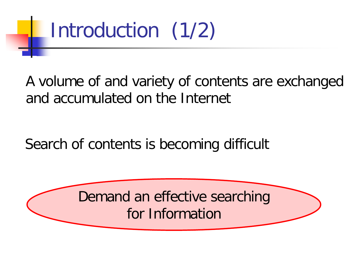

#### A volume of and variety of contents are exchanged and accumulated on the Internet

Search of contents is becoming difficult

Demand an effective searching for Information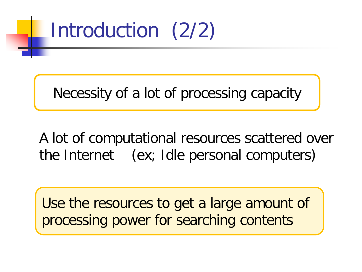# Introduction (2/2)

Necessity of a lot of processing capacity

A lot of computational resources scattered over the Internet (ex; Idle personal computers)

Use the resources to get a large amount of processing power for searching contents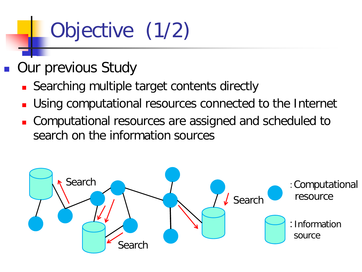# Objective (1/2)

- Our previous Study
	- Searching multiple target contents directly
	- Using computational resources connected to the Internet
	- Computational resources are assigned and scheduled to search on the information sources

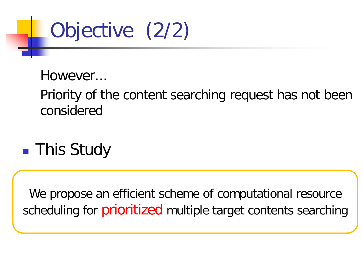# Objective (2/2)

However...

Priority of the content searching request has not been considered

**This Study** 

We propose an efficient scheme of computational resource scheduling for **prioritized** multiple target contents searching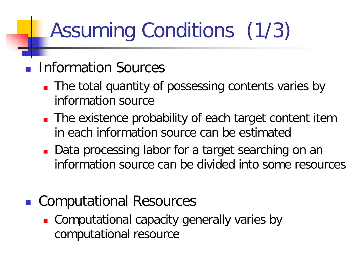# Assuming Conditions (1/3)

#### Information Sources

- **The total quantity of possessing contents varies by** information source
- **The existence probability of each target content item** in each information source can be estimated
- **Data processing labor for a target searching on an** information source can be divided into some resources
- Computational Resources
	- Computational capacity generally varies by computational resource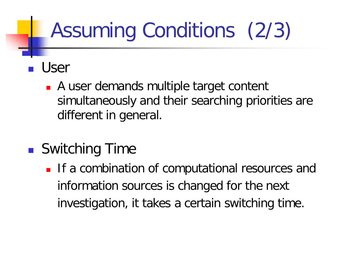# Assuming Conditions (2/3)

- User
	- **A** user demands multiple target content simultaneously and their searching priorities are different in general.
- **Switching Time** 
	- **If a combination of computational resources and** information sources is changed for the next investigation, it takes a certain switching time.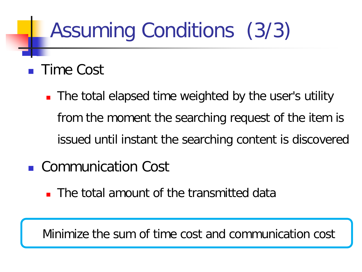# Assuming Conditions (3/3)

- **Time Cost** 
	- **The total elapsed time weighted by the user's utility** from the moment the searching request of the item is issued until instant the searching content is discovered
- **Communication Cost** 
	- **The total amount of the transmitted data**

Minimize the sum of time cost and communication cost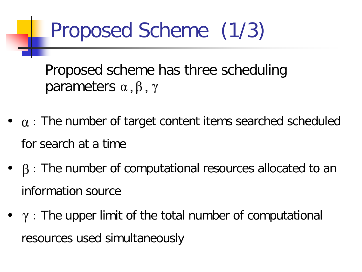# Proposed Scheme (1/3)

Proposed scheme has three scheduling parameters  $\alpha$ ,  $\beta$ ,  $\gamma$ 

- $\alpha$  : The number of target content items searched scheduled for search at a time
- $\bullet$   $\beta$  : The number of computational resources allocated to an information source
- $\gamma$ : The upper limit of the total number of computational resources used simultaneously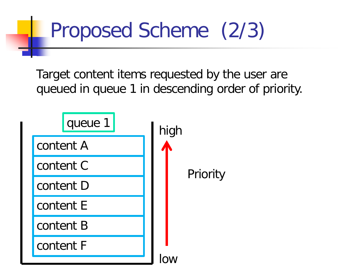# Proposed Scheme (2/3)

Target content items requested by the user are queued in queue 1 in descending order of priority.

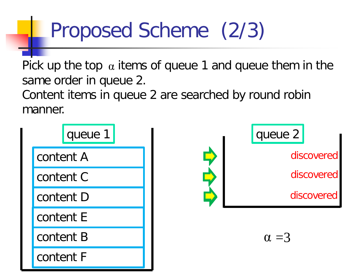# Proposed Scheme (2/3)

Pick up the top  $\alpha$  items of queue 1 and queue them in the same order in queue 2.

Content items in queue 2 are searched by round robin manner.

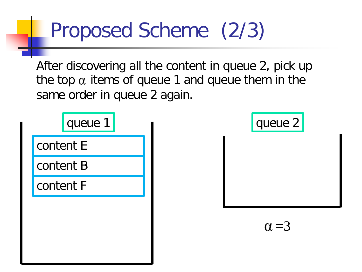# Proposed Scheme (2/3)

After discovering all the content in queue 2, pick up the top  $\alpha$  items of queue 1 and queue them in the same order in queue 2 again.

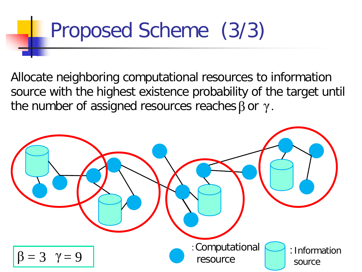# Proposed Scheme (3/3)

Allocate neighboring computational resources to information source with the highest existence probability of the target until the number of assigned resources reaches  $\beta$  or  $\gamma$ .

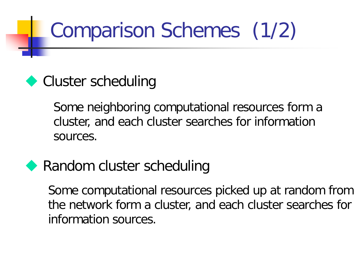# Comparison Schemes (1/2)



Some neighboring computational resources form a cluster, and each cluster searches for information sources.

◆ Random cluster scheduling

Some computational resources picked up at random from the network form a cluster, and each cluster searches for information sources.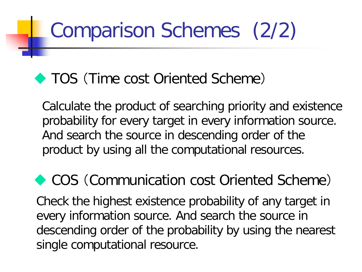## Comparison Schemes (2/2)

#### ◆ TOS (Time cost Oriented Scheme)

Calculate the product of searching priority and existence probability for every target in every information source. And search the source in descending order of the product by using all the computational resources.

◆ COS (Communication cost Oriented Scheme) Check the highest existence probability of any target in every information source. And search the source in descending order of the probability by using the nearest single computational resource.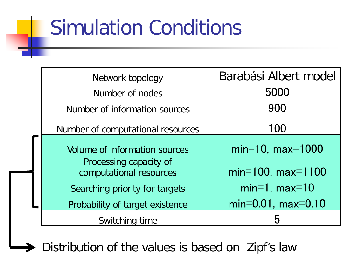### Simulation Conditions

| Network topology                                  | Barabási Albert model   |
|---------------------------------------------------|-------------------------|
| Number of nodes                                   | 5000                    |
| Number of information sources                     | 900                     |
| Number of computational resources                 | 100                     |
| Volume of information sources                     | $min=10$ , $max=1000$   |
| Processing capacity of<br>computational resources | min=100, max=1100       |
| Searching priority for targets                    | $min=1$ , $max=10$      |
| Probability of target existence                   | $min=0.01$ , $max=0.10$ |
| Switching time                                    | 5                       |

Substribution of the values is based on Zipf's law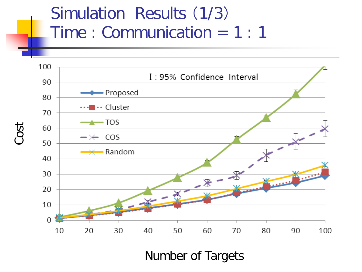### Simulation Results (1/3) Time : Communication = 1 : 1



Number of Targets

Cost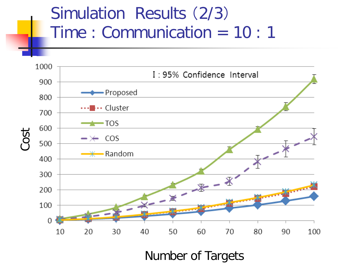### Simulation Results (2/3) Time : Communication = 10 : 1

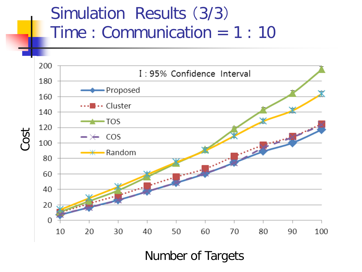### Simulation Results (3/3) Time : Communication = 1 : 10

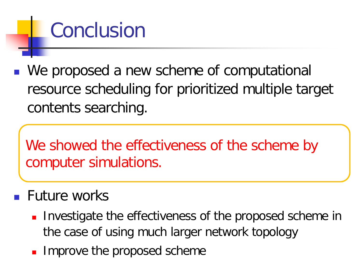## Conclusion

■ We proposed a new scheme of computational resource scheduling for prioritized multiple target contents searching.

We showed the effectiveness of the scheme by computer simulations.

#### **Future works**

- **Investigate the effectiveness of the proposed scheme in** the case of using much larger network topology
- **IMPROVE the proposed scheme**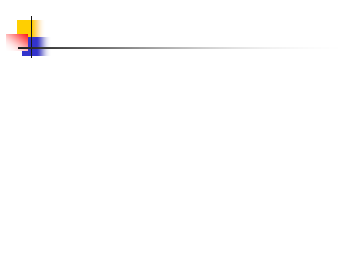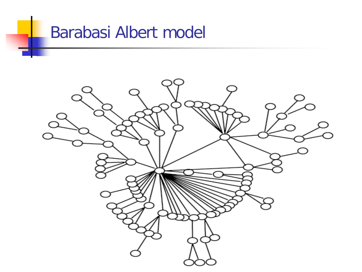#### Barabasi Albert model

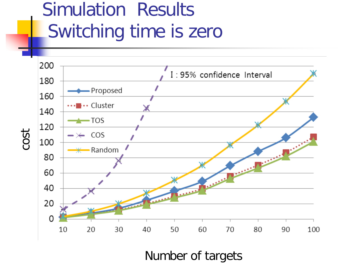### Simulation Results Switching time is zero

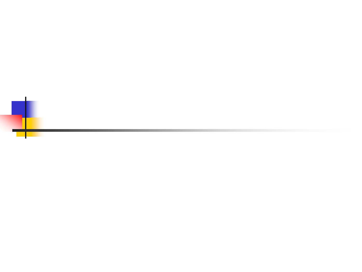